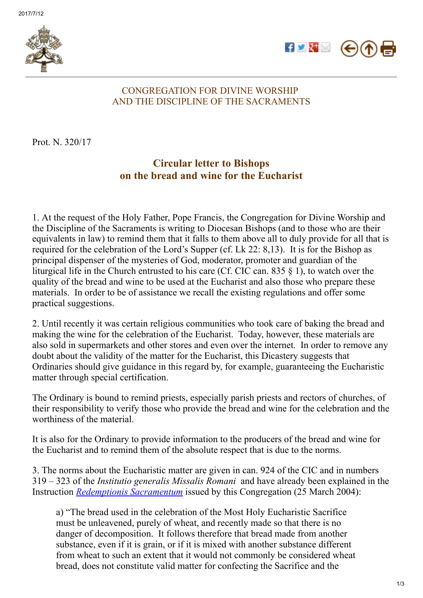



## CONGREGATION FOR DIVINE WORSHIP AND THE DISCIPLINE OF THE SACRAMENTS

Prot. N. 320/17

## Circular letter to Bishops on the bread and wine for the Eucharist

1. At the request of the Holy Father, Pope Francis, the Congregation for Divine Worship and the Discipline of the Sacraments is writing to Diocesan Bishops (and to those who are their equivalents in law) to remind them that it falls to them above all to duly provide for all that is required for the celebration of the Lord's Supper (cf. Lk 22: 8,13). It is for the Bishop as principal dispenser of the mysteries of God, moderator, promoter and guardian of the liturgical life in the Church entrusted to his care (Cf. CIC can. 835 § 1), to watch over the quality of the bread and wine to be used at the Eucharist and also those who prepare these materials. In order to be of assistance we recall the existing regulations and offer some practical suggestions.

2. Until recently it was certain religious communities who took care of baking the bread and making the wine for the celebration of the Eucharist. Today, however, these materials are also sold in supermarkets and other stores and even over the internet. In order to remove any doubt about the validity of the matter for the Eucharist, this Dicastery suggests that Ordinaries should give guidance in this regard by, for example, guaranteeing the Eucharistic matter through special certification.

The Ordinary is bound to remind priests, especially parish priests and rectors of churches, of their responsibility to verify those who provide the bread and wine for the celebration and the worthiness of the material.

It is also for the Ordinary to provide information to the producers of the bread and wine for the Eucharist and to remind them of the absolute respect that is due to the norms.

3. The norms about the Eucharistic matter are given in can. 924 of the CIC and in numbers 319 – 323 of the *Institutio generalis Missalis Romani* and have already been explained in the Instruction *Redemptionis [Sacramentum](http://www.vatican.va/roman_curia/congregations/ccdds/documents/rc_con_ccdds_doc_20040423_redemptionis-sacramentum_en.html)* issued by this Congregation (25 March 2004):

a) "The bread used in the celebration of the Most Holy Eucharistic Sacrifice must be unleavened, purely of wheat, and recently made so that there is no danger of decomposition. It follows therefore that bread made from another substance, even if it is grain, or if it is mixed with another substance different from wheat to such an extent that it would not commonly be considered wheat bread, does not constitute valid matter for confecting the Sacrifice and the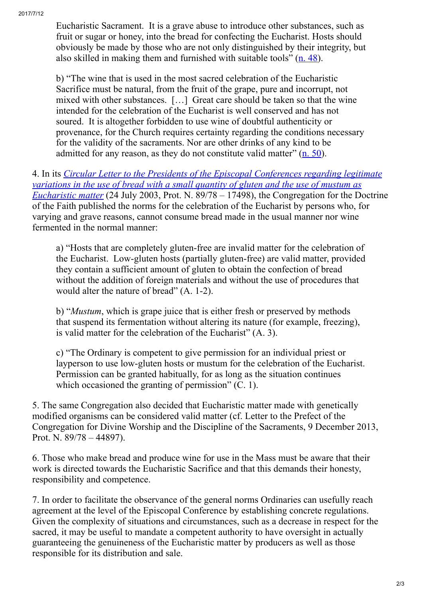Eucharistic Sacrament. It is a grave abuse to introduce other substances, such as fruit or sugar or honey, into the bread for confecting the Eucharist. Hosts should obviously be made by those who are not only distinguished by their integrity, but also skilled in making them and furnished with suitable tools"  $(n. 48)$  $(n. 48)$ .

b) "The wine that is used in the most sacred celebration of the Eucharistic Sacrifice must be natural, from the fruit of the grape, pure and incorrupt, not mixed with other substances. […] Great care should be taken so that the wine intended for the celebration of the Eucharist is well conserved and has not soured. It is altogether forbidden to use wine of doubtful authenticity or provenance, for the Church requires certainty regarding the conditions necessary for the validity of the sacraments. Nor are other drinks of any kind to be admitted for any reason, as they do not constitute valid matter" (n. [50\)](http://www.vatican.va/roman_curia/congregations/ccdds/documents/rc_con_ccdds_doc_20040423_redemptionis-sacramentum_en.html#Chapter III).

4. In its *Circular Letter to the Presidents of the Episcopal Conferences regarding legitimate variations in the use of bread with a small quantity of gluten and the use of mustum as Eucharistic matter* (24 July 2003, Prot. N. 89/78 – 17498), the [Congregation](http://www.vatican.va/roman_curia/congregations/cfaith/documents/rc_con_cfaith_doc_20030724_pane-senza-glutine_en.html) for the Doctrine of the Faith published the norms for the celebration of the Eucharist by persons who, for varying and grave reasons, cannot consume bread made in the usual manner nor wine fermented in the normal manner:

a) "Hosts that are completely gluten-free are invalid matter for the celebration of the Eucharist. Low-gluten hosts (partially gluten-free) are valid matter, provided they contain a sufficient amount of gluten to obtain the confection of bread without the addition of foreign materials and without the use of procedures that would alter the nature of bread" (A. 1-2).

b) "*Mustum*, which is grape juice that is either fresh or preserved by methods that suspend its fermentation without altering its nature (for example, freezing), is valid matter for the celebration of the Eucharist" (A. 3).

c) "The Ordinary is competent to give permission for an individual priest or layperson to use low-gluten hosts or mustum for the celebration of the Eucharist. Permission can be granted habitually, for as long as the situation continues which occasioned the granting of permission" (C. 1).

5. The same Congregation also decided that Eucharistic matter made with genetically modified organisms can be considered valid matter (cf. Letter to the Prefect of the Congregation for Divine Worship and the Discipline of the Sacraments, 9 December 2013, Prot. N. 89/78 – 44897).

6. Those who make bread and produce wine for use in the Mass must be aware that their work is directed towards the Eucharistic Sacrifice and that this demands their honesty, responsibility and competence.

7. In order to facilitate the observance of the general norms Ordinaries can usefully reach agreement at the level of the Episcopal Conference by establishing concrete regulations. Given the complexity of situations and circumstances, such as a decrease in respect for the sacred, it may be useful to mandate a competent authority to have oversight in actually guaranteeing the genuineness of the Eucharistic matter by producers as well as those responsible for its distribution and sale.